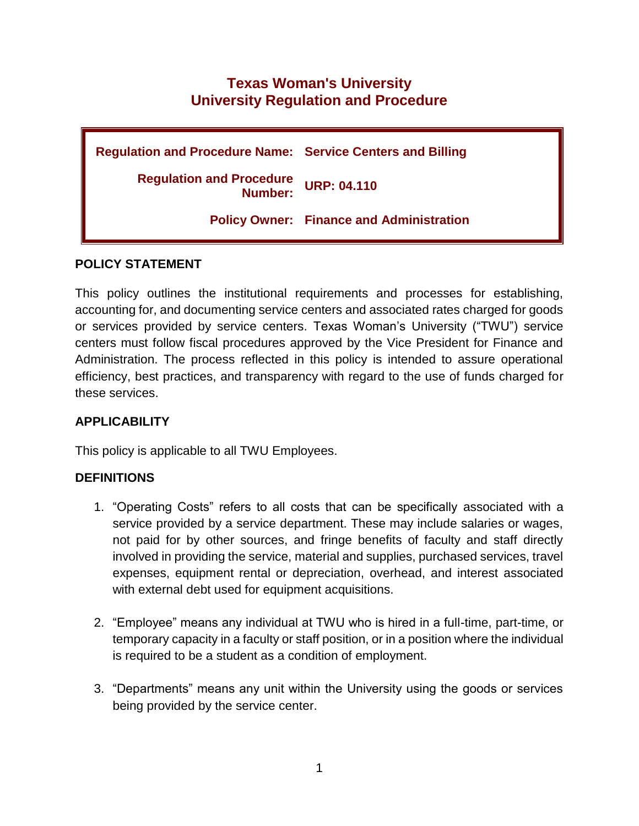# **Texas Woman's University University Regulation and Procedure**

| <b>Regulation and Procedure Name: Service Centers and Billing</b> |                                                 |
|-------------------------------------------------------------------|-------------------------------------------------|
| <b>Regulation and Procedure</b><br>Number:                        | <b>URP: 04.110</b>                              |
|                                                                   | <b>Policy Owner: Finance and Administration</b> |

#### **POLICY STATEMENT**

This policy outlines the institutional requirements and processes for establishing, accounting for, and documenting service centers and associated rates charged for goods or services provided by service centers. Texas Woman's University ("TWU") service centers must follow fiscal procedures approved by the Vice President for Finance and Administration. The process reflected in this policy is intended to assure operational efficiency, best practices, and transparency with regard to the use of funds charged for these services.

## **APPLICABILITY**

This policy is applicable to all TWU Employees.

## **DEFINITIONS**

- 1. "Operating Costs" refers to all costs that can be specifically associated with a service provided by a service department. These may include salaries or wages, not paid for by other sources, and fringe benefits of faculty and staff directly involved in providing the service, material and supplies, purchased services, travel expenses, equipment rental or depreciation, overhead, and interest associated with external debt used for equipment acquisitions.
- 2. "Employee" means any individual at TWU who is hired in a full-time, part-time, or temporary capacity in a faculty or staff position, or in a position where the individual is required to be a student as a condition of employment.
- 3. "Departments" means any unit within the University using the goods or services being provided by the service center.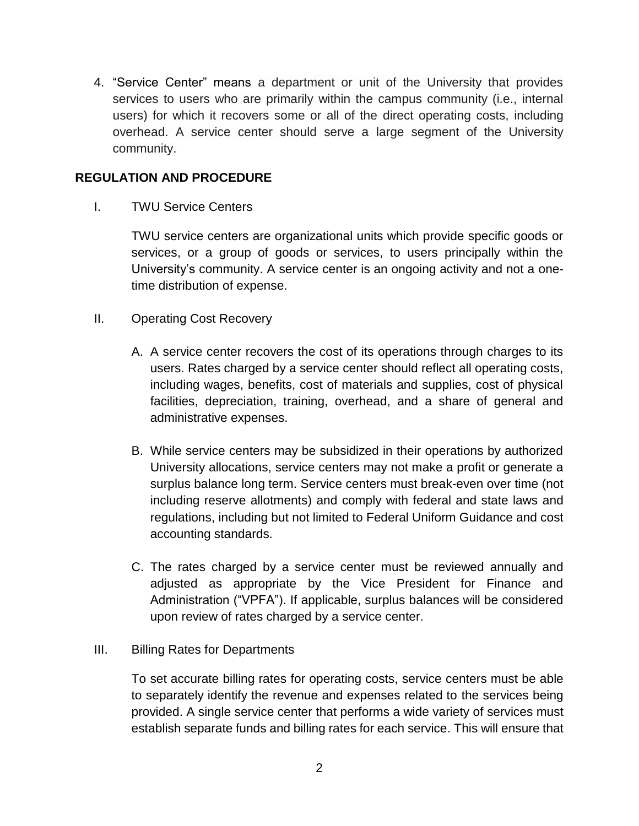4. "Service Center" means a department or unit of the University that provides services to users who are primarily within the campus community (i.e., internal users) for which it recovers some or all of the direct operating costs, including overhead. A service center should serve a large segment of the University community.

#### **REGULATION AND PROCEDURE**

I. TWU Service Centers

TWU service centers are organizational units which provide specific goods or services, or a group of goods or services, to users principally within the University's community. A service center is an ongoing activity and not a onetime distribution of expense.

- II. Operating Cost Recovery
	- A. A service center recovers the cost of its operations through charges to its users. Rates charged by a service center should reflect all operating costs, including wages, benefits, cost of materials and supplies, cost of physical facilities, depreciation, training, overhead, and a share of general and administrative expenses.
	- B. While service centers may be subsidized in their operations by authorized University allocations, service centers may not make a profit or generate a surplus balance long term. Service centers must break-even over time (not including reserve allotments) and comply with federal and state laws and regulations, including but not limited to Federal Uniform Guidance and cost accounting standards.
	- C. The rates charged by a service center must be reviewed annually and adjusted as appropriate by the Vice President for Finance and Administration ("VPFA"). If applicable, surplus balances will be considered upon review of rates charged by a service center.

#### III. Billing Rates for Departments

To set accurate billing rates for operating costs, service centers must be able to separately identify the revenue and expenses related to the services being provided. A single service center that performs a wide variety of services must establish separate funds and billing rates for each service. This will ensure that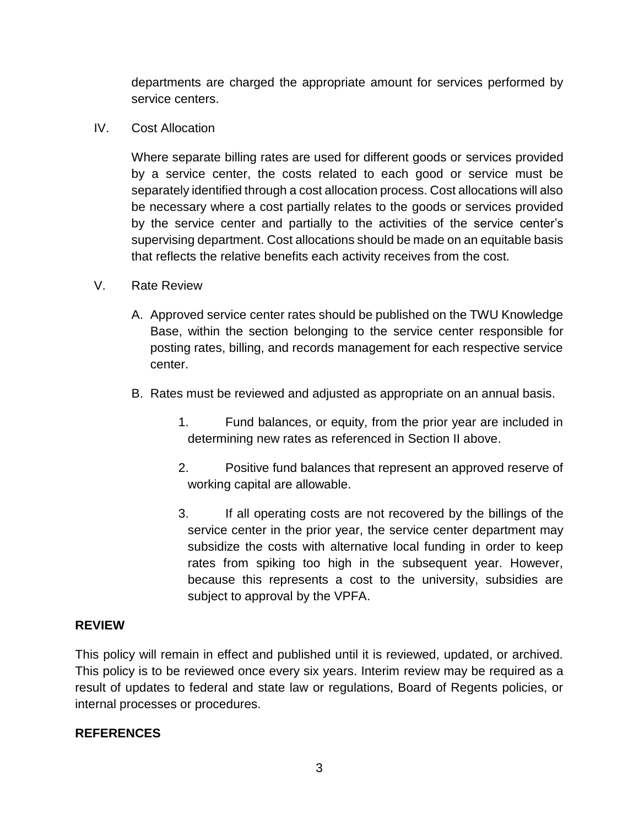departments are charged the appropriate amount for services performed by service centers.

IV. Cost Allocation

Where separate billing rates are used for different goods or services provided by a service center, the costs related to each good or service must be separately identified through a cost allocation process. Cost allocations will also be necessary where a cost partially relates to the goods or services provided by the service center and partially to the activities of the service center's supervising department. Cost allocations should be made on an equitable basis that reflects the relative benefits each activity receives from the cost.

- V. Rate Review
	- A. Approved service center rates should be published on the TWU Knowledge Base, within the section belonging to the service center responsible for posting rates, billing, and records management for each respective service center.
	- B. Rates must be reviewed and adjusted as appropriate on an annual basis.
		- 1. Fund balances, or equity, from the prior year are included in determining new rates as referenced in Section II above.
		- 2. Positive fund balances that represent an approved reserve of working capital are allowable.
		- 3. If all operating costs are not recovered by the billings of the service center in the prior year, the service center department may subsidize the costs with alternative local funding in order to keep rates from spiking too high in the subsequent year. However, because this represents a cost to the university, subsidies are subject to approval by the VPFA.

## **REVIEW**

This policy will remain in effect and published until it is reviewed, updated, or archived. This policy is to be reviewed once every six years. Interim review may be required as a result of updates to federal and state law or regulations, Board of Regents policies, or internal processes or procedures.

## **REFERENCES**